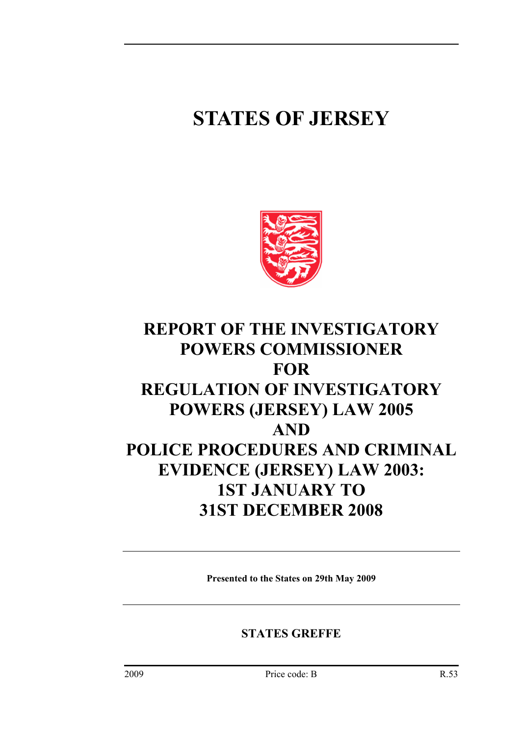# **STATES OF JERSEY**



# **REPORT OF THE INVESTIGATORY POWERS COMMISSIONER FOR REGULATION OF INVESTIGATORY POWERS (JERSEY) LAW 2005 AND POLICE PROCEDURES AND CRIMINAL EVIDENCE (JERSEY) LAW 2003: 1ST JANUARY TO 31ST DECEMBER 2008**

**Presented to the States on 29th May 2009** 

**STATES GREFFE**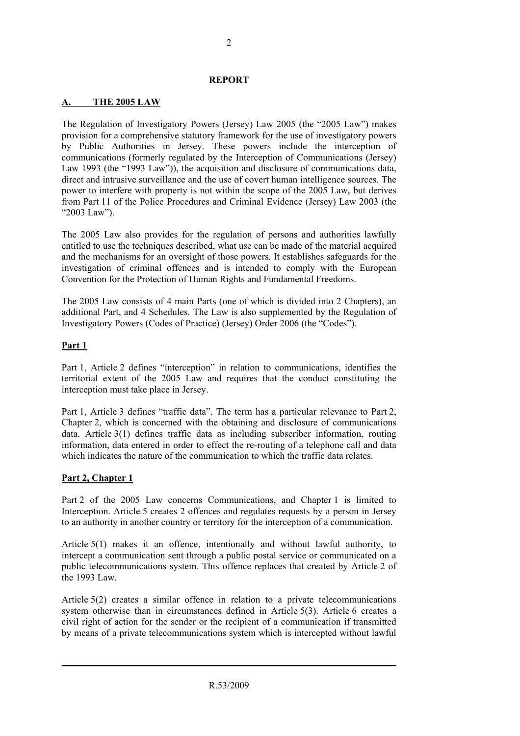#### **REPORT**

#### **A. THE 2005 LAW**

The Regulation of Investigatory Powers (Jersey) Law 2005 (the "2005 Law") makes provision for a comprehensive statutory framework for the use of investigatory powers by Public Authorities in Jersey. These powers include the interception of communications (formerly regulated by the Interception of Communications (Jersey) Law 1993 (the "1993 Law")), the acquisition and disclosure of communications data, direct and intrusive surveillance and the use of covert human intelligence sources. The power to interfere with property is not within the scope of the 2005 Law, but derives from Part 11 of the Police Procedures and Criminal Evidence (Jersey) Law 2003 (the "2003 Law").

The 2005 Law also provides for the regulation of persons and authorities lawfully entitled to use the techniques described, what use can be made of the material acquired and the mechanisms for an oversight of those powers. It establishes safeguards for the investigation of criminal offences and is intended to comply with the European Convention for the Protection of Human Rights and Fundamental Freedoms.

The 2005 Law consists of 4 main Parts (one of which is divided into 2 Chapters), an additional Part, and 4 Schedules. The Law is also supplemented by the Regulation of Investigatory Powers (Codes of Practice) (Jersey) Order 2006 (the "Codes").

#### **Part 1**

Part 1, Article 2 defines "interception" in relation to communications, identifies the territorial extent of the 2005 Law and requires that the conduct constituting the interception must take place in Jersey.

Part 1, Article 3 defines "traffic data". The term has a particular relevance to Part 2, Chapter 2, which is concerned with the obtaining and disclosure of communications data. Article 3(1) defines traffic data as including subscriber information, routing information, data entered in order to effect the re-routing of a telephone call and data which indicates the nature of the communication to which the traffic data relates.

#### **Part 2, Chapter 1**

Part 2 of the 2005 Law concerns Communications, and Chapter 1 is limited to Interception. Article 5 creates 2 offences and regulates requests by a person in Jersey to an authority in another country or territory for the interception of a communication.

Article 5(1) makes it an offence, intentionally and without lawful authority, to intercept a communication sent through a public postal service or communicated on a public telecommunications system. This offence replaces that created by Article 2 of the 1993 Law.

Article 5(2) creates a similar offence in relation to a private telecommunications system otherwise than in circumstances defined in Article 5(3). Article 6 creates a civil right of action for the sender or the recipient of a communication if transmitted by means of a private telecommunications system which is intercepted without lawful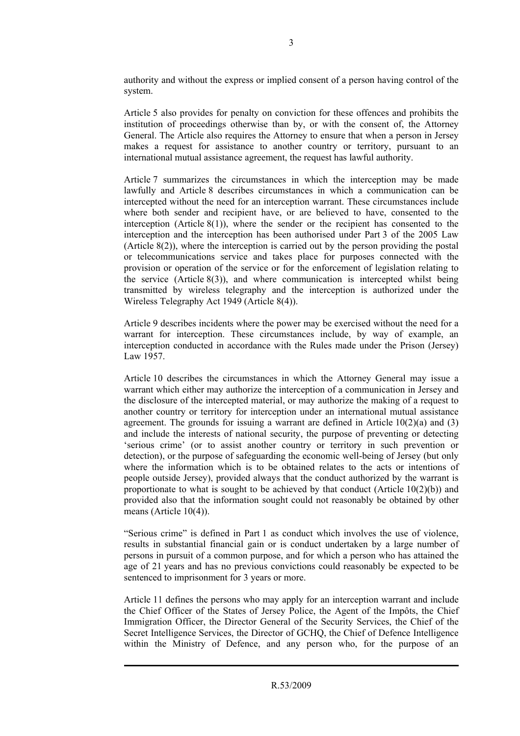authority and without the express or implied consent of a person having control of the system.

Article 5 also provides for penalty on conviction for these offences and prohibits the institution of proceedings otherwise than by, or with the consent of, the Attorney General. The Article also requires the Attorney to ensure that when a person in Jersey makes a request for assistance to another country or territory, pursuant to an international mutual assistance agreement, the request has lawful authority.

Article 7 summarizes the circumstances in which the interception may be made lawfully and Article 8 describes circumstances in which a communication can be intercepted without the need for an interception warrant. These circumstances include where both sender and recipient have, or are believed to have, consented to the interception (Article 8(1)), where the sender or the recipient has consented to the interception and the interception has been authorised under Part 3 of the 2005 Law (Article 8(2)), where the interception is carried out by the person providing the postal or telecommunications service and takes place for purposes connected with the provision or operation of the service or for the enforcement of legislation relating to the service (Article 8(3)), and where communication is intercepted whilst being transmitted by wireless telegraphy and the interception is authorized under the Wireless Telegraphy Act 1949 (Article 8(4)).

Article 9 describes incidents where the power may be exercised without the need for a warrant for interception. These circumstances include, by way of example, an interception conducted in accordance with the Rules made under the Prison (Jersey) Law 1957.

Article 10 describes the circumstances in which the Attorney General may issue a warrant which either may authorize the interception of a communication in Jersey and the disclosure of the intercepted material, or may authorize the making of a request to another country or territory for interception under an international mutual assistance agreement. The grounds for issuing a warrant are defined in Article  $10(2)(a)$  and  $(3)$ and include the interests of national security, the purpose of preventing or detecting 'serious crime' (or to assist another country or territory in such prevention or detection), or the purpose of safeguarding the economic well-being of Jersey (but only where the information which is to be obtained relates to the acts or intentions of people outside Jersey), provided always that the conduct authorized by the warrant is proportionate to what is sought to be achieved by that conduct (Article  $10(2)(b)$ ) and provided also that the information sought could not reasonably be obtained by other means (Article 10(4)).

"Serious crime" is defined in Part 1 as conduct which involves the use of violence, results in substantial financial gain or is conduct undertaken by a large number of persons in pursuit of a common purpose, and for which a person who has attained the age of 21 years and has no previous convictions could reasonably be expected to be sentenced to imprisonment for 3 years or more.

Article 11 defines the persons who may apply for an interception warrant and include the Chief Officer of the States of Jersey Police, the Agent of the Impôts, the Chief Immigration Officer, the Director General of the Security Services, the Chief of the Secret Intelligence Services, the Director of GCHQ, the Chief of Defence Intelligence within the Ministry of Defence, and any person who, for the purpose of an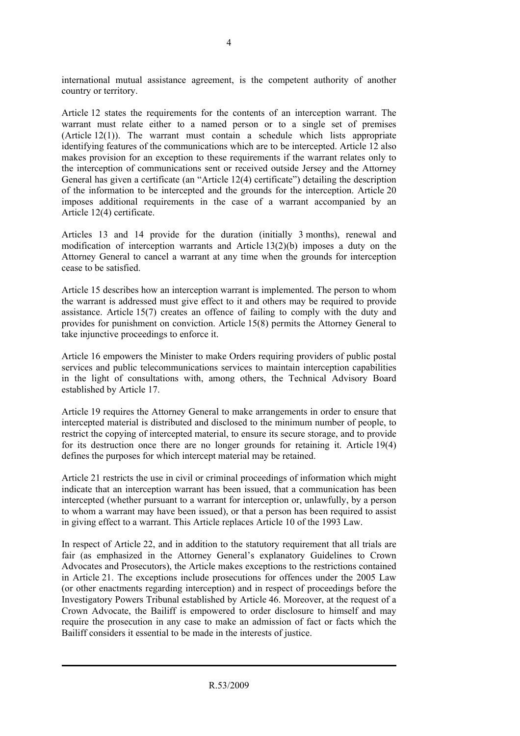international mutual assistance agreement, is the competent authority of another country or territory.

Article 12 states the requirements for the contents of an interception warrant. The warrant must relate either to a named person or to a single set of premises (Article 12(1)). The warrant must contain a schedule which lists appropriate identifying features of the communications which are to be intercepted. Article 12 also makes provision for an exception to these requirements if the warrant relates only to the interception of communications sent or received outside Jersey and the Attorney General has given a certificate (an "Article 12(4) certificate") detailing the description of the information to be intercepted and the grounds for the interception. Article 20 imposes additional requirements in the case of a warrant accompanied by an Article 12(4) certificate.

Articles 13 and 14 provide for the duration (initially 3 months), renewal and modification of interception warrants and Article  $13(2)(b)$  imposes a duty on the Attorney General to cancel a warrant at any time when the grounds for interception cease to be satisfied.

Article 15 describes how an interception warrant is implemented. The person to whom the warrant is addressed must give effect to it and others may be required to provide assistance. Article 15(7) creates an offence of failing to comply with the duty and provides for punishment on conviction. Article 15(8) permits the Attorney General to take injunctive proceedings to enforce it.

Article 16 empowers the Minister to make Orders requiring providers of public postal services and public telecommunications services to maintain interception capabilities in the light of consultations with, among others, the Technical Advisory Board established by Article 17.

Article 19 requires the Attorney General to make arrangements in order to ensure that intercepted material is distributed and disclosed to the minimum number of people, to restrict the copying of intercepted material, to ensure its secure storage, and to provide for its destruction once there are no longer grounds for retaining it. Article 19(4) defines the purposes for which intercept material may be retained.

Article 21 restricts the use in civil or criminal proceedings of information which might indicate that an interception warrant has been issued, that a communication has been intercepted (whether pursuant to a warrant for interception or, unlawfully, by a person to whom a warrant may have been issued), or that a person has been required to assist in giving effect to a warrant. This Article replaces Article 10 of the 1993 Law.

In respect of Article 22, and in addition to the statutory requirement that all trials are fair (as emphasized in the Attorney General's explanatory Guidelines to Crown Advocates and Prosecutors), the Article makes exceptions to the restrictions contained in Article 21. The exceptions include prosecutions for offences under the 2005 Law (or other enactments regarding interception) and in respect of proceedings before the Investigatory Powers Tribunal established by Article 46. Moreover, at the request of a Crown Advocate, the Bailiff is empowered to order disclosure to himself and may require the prosecution in any case to make an admission of fact or facts which the Bailiff considers it essential to be made in the interests of justice.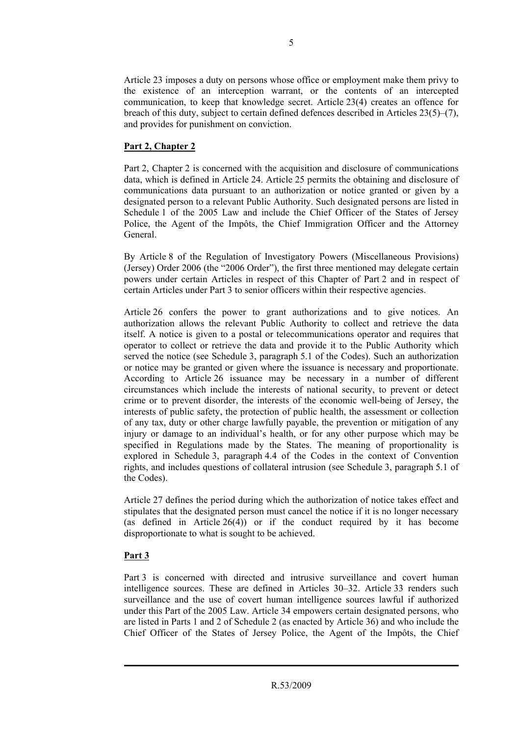Article 23 imposes a duty on persons whose office or employment make them privy to the existence of an interception warrant, or the contents of an intercepted communication, to keep that knowledge secret. Article 23(4) creates an offence for breach of this duty, subject to certain defined defences described in Articles  $23(5)$ –(7), and provides for punishment on conviction.

#### **Part 2, Chapter 2**

Part 2, Chapter 2 is concerned with the acquisition and disclosure of communications data, which is defined in Article 24. Article 25 permits the obtaining and disclosure of communications data pursuant to an authorization or notice granted or given by a designated person to a relevant Public Authority. Such designated persons are listed in Schedule 1 of the 2005 Law and include the Chief Officer of the States of Jersey Police, the Agent of the Impôts, the Chief Immigration Officer and the Attorney General.

By Article 8 of the Regulation of Investigatory Powers (Miscellaneous Provisions) (Jersey) Order 2006 (the "2006 Order"), the first three mentioned may delegate certain powers under certain Articles in respect of this Chapter of Part 2 and in respect of certain Articles under Part 3 to senior officers within their respective agencies.

Article 26 confers the power to grant authorizations and to give notices. An authorization allows the relevant Public Authority to collect and retrieve the data itself. A notice is given to a postal or telecommunications operator and requires that operator to collect or retrieve the data and provide it to the Public Authority which served the notice (see Schedule 3, paragraph 5.1 of the Codes). Such an authorization or notice may be granted or given where the issuance is necessary and proportionate. According to Article 26 issuance may be necessary in a number of different circumstances which include the interests of national security, to prevent or detect crime or to prevent disorder, the interests of the economic well-being of Jersey, the interests of public safety, the protection of public health, the assessment or collection of any tax, duty or other charge lawfully payable, the prevention or mitigation of any injury or damage to an individual's health, or for any other purpose which may be specified in Regulations made by the States. The meaning of proportionality is explored in Schedule 3, paragraph 4.4 of the Codes in the context of Convention rights, and includes questions of collateral intrusion (see Schedule 3, paragraph 5.1 of the Codes).

Article 27 defines the period during which the authorization of notice takes effect and stipulates that the designated person must cancel the notice if it is no longer necessary (as defined in Article 26(4)) or if the conduct required by it has become disproportionate to what is sought to be achieved.

#### **Part 3**

Part 3 is concerned with directed and intrusive surveillance and covert human intelligence sources. These are defined in Articles 30–32. Article 33 renders such surveillance and the use of covert human intelligence sources lawful if authorized under this Part of the 2005 Law. Article 34 empowers certain designated persons, who are listed in Parts 1 and 2 of Schedule 2 (as enacted by Article 36) and who include the Chief Officer of the States of Jersey Police, the Agent of the Impôts, the Chief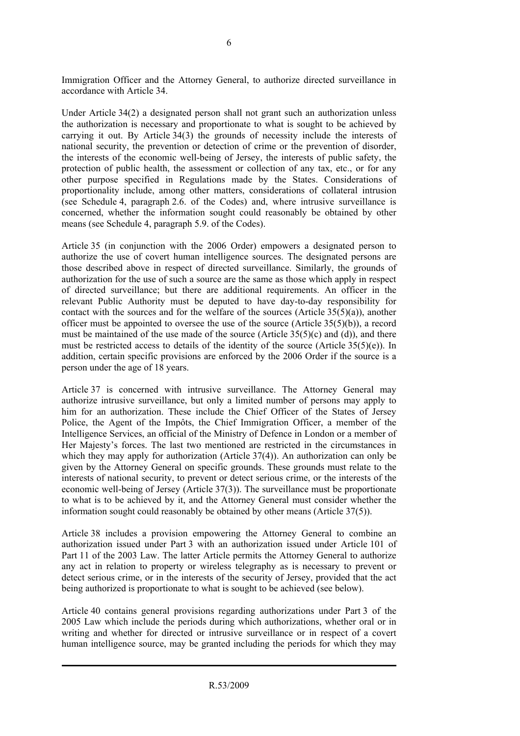Immigration Officer and the Attorney General, to authorize directed surveillance in accordance with Article 34.

Under Article 34(2) a designated person shall not grant such an authorization unless the authorization is necessary and proportionate to what is sought to be achieved by carrying it out. By Article 34(3) the grounds of necessity include the interests of national security, the prevention or detection of crime or the prevention of disorder, the interests of the economic well-being of Jersey, the interests of public safety, the protection of public health, the assessment or collection of any tax, etc., or for any other purpose specified in Regulations made by the States. Considerations of proportionality include, among other matters, considerations of collateral intrusion (see Schedule 4, paragraph 2.6. of the Codes) and, where intrusive surveillance is concerned, whether the information sought could reasonably be obtained by other means (see Schedule 4, paragraph 5.9. of the Codes).

Article 35 (in conjunction with the 2006 Order) empowers a designated person to authorize the use of covert human intelligence sources. The designated persons are those described above in respect of directed surveillance. Similarly, the grounds of authorization for the use of such a source are the same as those which apply in respect of directed surveillance; but there are additional requirements. An officer in the relevant Public Authority must be deputed to have day-to-day responsibility for contact with the sources and for the welfare of the sources (Article 35(5)(a)), another officer must be appointed to oversee the use of the source (Article  $35(5)(b)$ ), a record must be maintained of the use made of the source (Article  $35(5)(c)$  and (d)), and there must be restricted access to details of the identity of the source (Article  $35(5)(e)$ ). In addition, certain specific provisions are enforced by the 2006 Order if the source is a person under the age of 18 years.

Article 37 is concerned with intrusive surveillance. The Attorney General may authorize intrusive surveillance, but only a limited number of persons may apply to him for an authorization. These include the Chief Officer of the States of Jersey Police, the Agent of the Impôts, the Chief Immigration Officer, a member of the Intelligence Services, an official of the Ministry of Defence in London or a member of Her Majesty's forces. The last two mentioned are restricted in the circumstances in which they may apply for authorization (Article 37(4)). An authorization can only be given by the Attorney General on specific grounds. These grounds must relate to the interests of national security, to prevent or detect serious crime, or the interests of the economic well-being of Jersey (Article 37(3)). The surveillance must be proportionate to what is to be achieved by it, and the Attorney General must consider whether the information sought could reasonably be obtained by other means (Article 37(5)).

Article 38 includes a provision empowering the Attorney General to combine an authorization issued under Part 3 with an authorization issued under Article 101 of Part 11 of the 2003 Law. The latter Article permits the Attorney General to authorize any act in relation to property or wireless telegraphy as is necessary to prevent or detect serious crime, or in the interests of the security of Jersey, provided that the act being authorized is proportionate to what is sought to be achieved (see below).

Article 40 contains general provisions regarding authorizations under Part 3 of the 2005 Law which include the periods during which authorizations, whether oral or in writing and whether for directed or intrusive surveillance or in respect of a covert human intelligence source, may be granted including the periods for which they may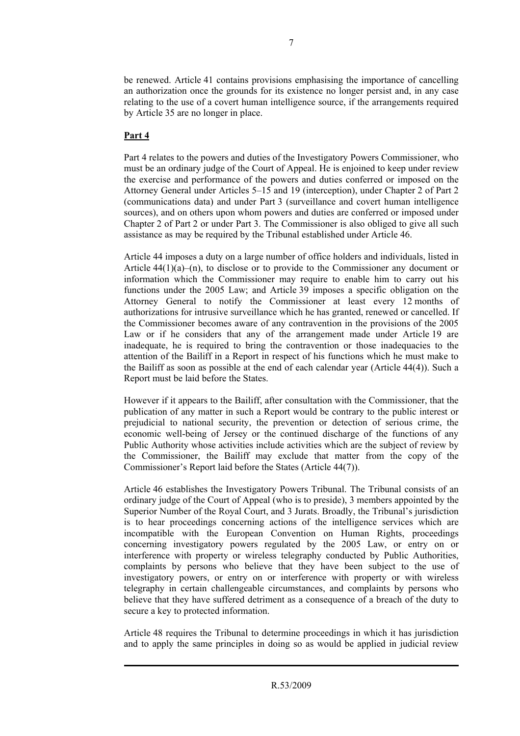be renewed. Article 41 contains provisions emphasising the importance of cancelling an authorization once the grounds for its existence no longer persist and, in any case relating to the use of a covert human intelligence source, if the arrangements required by Article 35 are no longer in place.

#### **Part 4**

Part 4 relates to the powers and duties of the Investigatory Powers Commissioner, who must be an ordinary judge of the Court of Appeal. He is enjoined to keep under review the exercise and performance of the powers and duties conferred or imposed on the Attorney General under Articles 5–15 and 19 (interception), under Chapter 2 of Part 2 (communications data) and under Part 3 (surveillance and covert human intelligence sources), and on others upon whom powers and duties are conferred or imposed under Chapter 2 of Part 2 or under Part 3. The Commissioner is also obliged to give all such assistance as may be required by the Tribunal established under Article 46.

Article 44 imposes a duty on a large number of office holders and individuals, listed in Article 44(1)(a)–(n), to disclose or to provide to the Commissioner any document or information which the Commissioner may require to enable him to carry out his functions under the 2005 Law; and Article 39 imposes a specific obligation on the Attorney General to notify the Commissioner at least every 12 months of authorizations for intrusive surveillance which he has granted, renewed or cancelled. If the Commissioner becomes aware of any contravention in the provisions of the 2005 Law or if he considers that any of the arrangement made under Article 19 are inadequate, he is required to bring the contravention or those inadequacies to the attention of the Bailiff in a Report in respect of his functions which he must make to the Bailiff as soon as possible at the end of each calendar year (Article 44(4)). Such a Report must be laid before the States.

However if it appears to the Bailiff, after consultation with the Commissioner, that the publication of any matter in such a Report would be contrary to the public interest or prejudicial to national security, the prevention or detection of serious crime, the economic well-being of Jersey or the continued discharge of the functions of any Public Authority whose activities include activities which are the subject of review by the Commissioner, the Bailiff may exclude that matter from the copy of the Commissioner's Report laid before the States (Article 44(7)).

Article 46 establishes the Investigatory Powers Tribunal. The Tribunal consists of an ordinary judge of the Court of Appeal (who is to preside), 3 members appointed by the Superior Number of the Royal Court, and 3 Jurats. Broadly, the Tribunal's jurisdiction is to hear proceedings concerning actions of the intelligence services which are incompatible with the European Convention on Human Rights, proceedings concerning investigatory powers regulated by the 2005 Law, or entry on or interference with property or wireless telegraphy conducted by Public Authorities, complaints by persons who believe that they have been subject to the use of investigatory powers, or entry on or interference with property or with wireless telegraphy in certain challengeable circumstances, and complaints by persons who believe that they have suffered detriment as a consequence of a breach of the duty to secure a key to protected information.

Article 48 requires the Tribunal to determine proceedings in which it has jurisdiction and to apply the same principles in doing so as would be applied in judicial review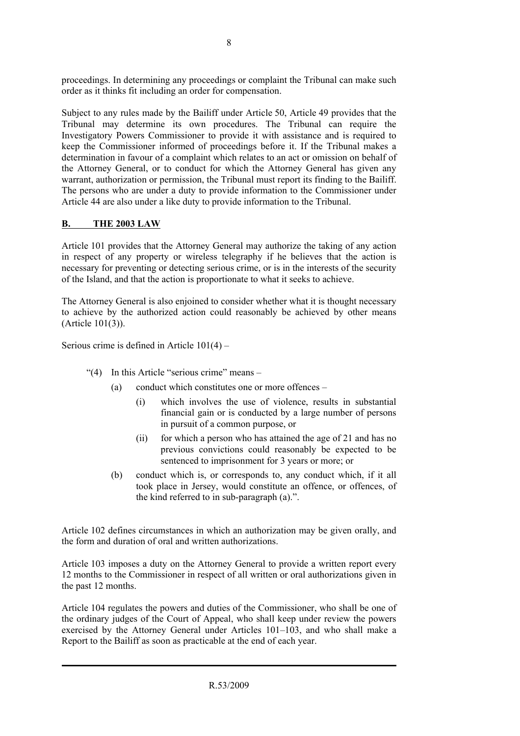proceedings. In determining any proceedings or complaint the Tribunal can make such order as it thinks fit including an order for compensation.

Subject to any rules made by the Bailiff under Article 50, Article 49 provides that the Tribunal may determine its own procedures. The Tribunal can require the Investigatory Powers Commissioner to provide it with assistance and is required to keep the Commissioner informed of proceedings before it. If the Tribunal makes a determination in favour of a complaint which relates to an act or omission on behalf of the Attorney General, or to conduct for which the Attorney General has given any warrant, authorization or permission, the Tribunal must report its finding to the Bailiff. The persons who are under a duty to provide information to the Commissioner under Article 44 are also under a like duty to provide information to the Tribunal.

#### **B. THE 2003 LAW**

Article 101 provides that the Attorney General may authorize the taking of any action in respect of any property or wireless telegraphy if he believes that the action is necessary for preventing or detecting serious crime, or is in the interests of the security of the Island, and that the action is proportionate to what it seeks to achieve.

The Attorney General is also enjoined to consider whether what it is thought necessary to achieve by the authorized action could reasonably be achieved by other means (Article 101(3)).

Serious crime is defined in Article 101(4) –

- "(4) In this Article "serious crime" means
	- (a) conduct which constitutes one or more offences
		- (i) which involves the use of violence, results in substantial financial gain or is conducted by a large number of persons in pursuit of a common purpose, or
		- (ii) for which a person who has attained the age of 21 and has no previous convictions could reasonably be expected to be sentenced to imprisonment for 3 years or more; or
	- (b) conduct which is, or corresponds to, any conduct which, if it all took place in Jersey, would constitute an offence, or offences, of the kind referred to in sub-paragraph (a).".

Article 102 defines circumstances in which an authorization may be given orally, and the form and duration of oral and written authorizations.

Article 103 imposes a duty on the Attorney General to provide a written report every 12 months to the Commissioner in respect of all written or oral authorizations given in the past 12 months.

Article 104 regulates the powers and duties of the Commissioner, who shall be one of the ordinary judges of the Court of Appeal, who shall keep under review the powers exercised by the Attorney General under Articles 101–103, and who shall make a Report to the Bailiff as soon as practicable at the end of each year.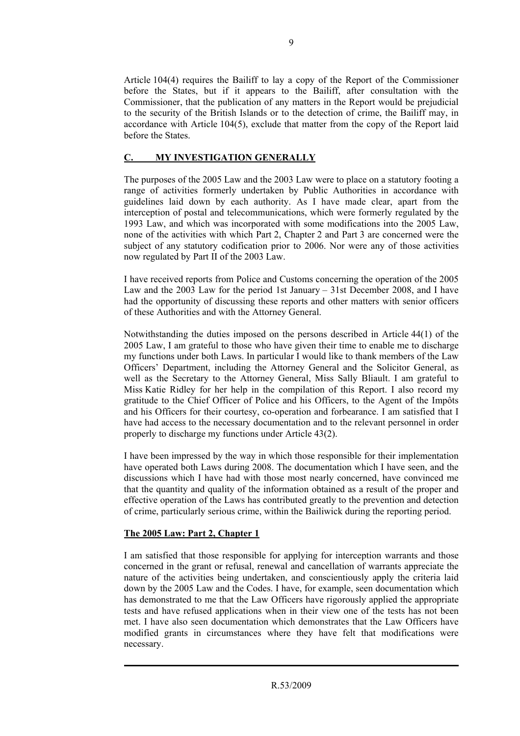Article 104(4) requires the Bailiff to lay a copy of the Report of the Commissioner before the States, but if it appears to the Bailiff, after consultation with the Commissioner, that the publication of any matters in the Report would be prejudicial to the security of the British Islands or to the detection of crime, the Bailiff may, in accordance with Article 104(5), exclude that matter from the copy of the Report laid before the States.

#### **C. MY INVESTIGATION GENERALLY**

The purposes of the 2005 Law and the 2003 Law were to place on a statutory footing a range of activities formerly undertaken by Public Authorities in accordance with guidelines laid down by each authority. As I have made clear, apart from the interception of postal and telecommunications, which were formerly regulated by the 1993 Law, and which was incorporated with some modifications into the 2005 Law, none of the activities with which Part 2, Chapter 2 and Part 3 are concerned were the subject of any statutory codification prior to 2006. Nor were any of those activities now regulated by Part II of the 2003 Law.

I have received reports from Police and Customs concerning the operation of the 2005 Law and the 2003 Law for the period 1st January – 31st December 2008, and I have had the opportunity of discussing these reports and other matters with senior officers of these Authorities and with the Attorney General.

Notwithstanding the duties imposed on the persons described in Article 44(1) of the 2005 Law, I am grateful to those who have given their time to enable me to discharge my functions under both Laws. In particular I would like to thank members of the Law Officers' Department, including the Attorney General and the Solicitor General, as well as the Secretary to the Attorney General, Miss Sally Bliault. I am grateful to Miss Katie Ridley for her help in the compilation of this Report. I also record my gratitude to the Chief Officer of Police and his Officers, to the Agent of the Impôts and his Officers for their courtesy, co-operation and forbearance. I am satisfied that I have had access to the necessary documentation and to the relevant personnel in order properly to discharge my functions under Article 43(2).

I have been impressed by the way in which those responsible for their implementation have operated both Laws during 2008. The documentation which I have seen, and the discussions which I have had with those most nearly concerned, have convinced me that the quantity and quality of the information obtained as a result of the proper and effective operation of the Laws has contributed greatly to the prevention and detection of crime, particularly serious crime, within the Bailiwick during the reporting period.

## **The 2005 Law: Part 2, Chapter 1**

I am satisfied that those responsible for applying for interception warrants and those concerned in the grant or refusal, renewal and cancellation of warrants appreciate the nature of the activities being undertaken, and conscientiously apply the criteria laid down by the 2005 Law and the Codes. I have, for example, seen documentation which has demonstrated to me that the Law Officers have rigorously applied the appropriate tests and have refused applications when in their view one of the tests has not been met. I have also seen documentation which demonstrates that the Law Officers have modified grants in circumstances where they have felt that modifications were necessary.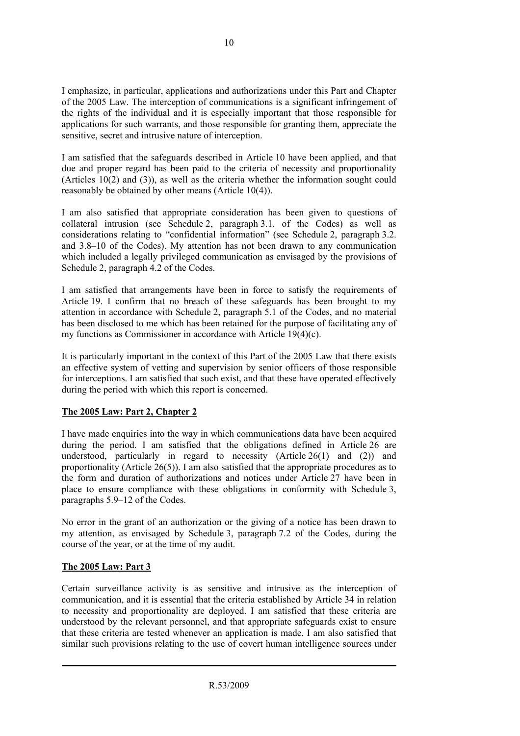I emphasize, in particular, applications and authorizations under this Part and Chapter of the 2005 Law. The interception of communications is a significant infringement of the rights of the individual and it is especially important that those responsible for applications for such warrants, and those responsible for granting them, appreciate the sensitive, secret and intrusive nature of interception.

I am satisfied that the safeguards described in Article 10 have been applied, and that due and proper regard has been paid to the criteria of necessity and proportionality (Articles 10(2) and (3)), as well as the criteria whether the information sought could reasonably be obtained by other means (Article 10(4)).

I am also satisfied that appropriate consideration has been given to questions of collateral intrusion (see Schedule 2, paragraph 3.1. of the Codes) as well as considerations relating to "confidential information" (see Schedule 2, paragraph 3.2. and 3.8–10 of the Codes). My attention has not been drawn to any communication which included a legally privileged communication as envisaged by the provisions of Schedule 2, paragraph 4.2 of the Codes.

I am satisfied that arrangements have been in force to satisfy the requirements of Article 19. I confirm that no breach of these safeguards has been brought to my attention in accordance with Schedule 2, paragraph 5.1 of the Codes, and no material has been disclosed to me which has been retained for the purpose of facilitating any of my functions as Commissioner in accordance with Article 19(4)(c).

It is particularly important in the context of this Part of the 2005 Law that there exists an effective system of vetting and supervision by senior officers of those responsible for interceptions. I am satisfied that such exist, and that these have operated effectively during the period with which this report is concerned.

#### **The 2005 Law: Part 2, Chapter 2**

I have made enquiries into the way in which communications data have been acquired during the period. I am satisfied that the obligations defined in Article 26 are understood, particularly in regard to necessity (Article  $26(1)$  and (2)) and proportionality (Article 26(5)). I am also satisfied that the appropriate procedures as to the form and duration of authorizations and notices under Article 27 have been in place to ensure compliance with these obligations in conformity with Schedule 3, paragraphs 5.9–12 of the Codes.

No error in the grant of an authorization or the giving of a notice has been drawn to my attention, as envisaged by Schedule 3, paragraph 7.2 of the Codes, during the course of the year, or at the time of my audit.

#### **The 2005 Law: Part 3**

Certain surveillance activity is as sensitive and intrusive as the interception of communication, and it is essential that the criteria established by Article 34 in relation to necessity and proportionality are deployed. I am satisfied that these criteria are understood by the relevant personnel, and that appropriate safeguards exist to ensure that these criteria are tested whenever an application is made. I am also satisfied that similar such provisions relating to the use of covert human intelligence sources under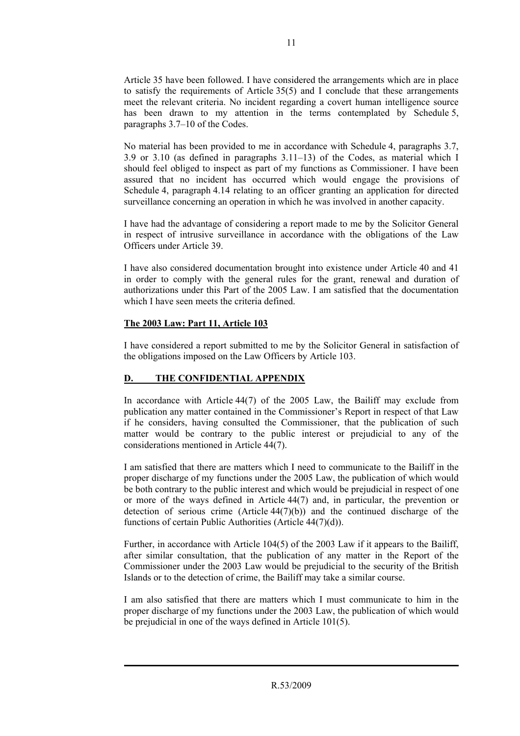Article 35 have been followed. I have considered the arrangements which are in place to satisfy the requirements of Article 35(5) and I conclude that these arrangements meet the relevant criteria. No incident regarding a covert human intelligence source has been drawn to my attention in the terms contemplated by Schedule 5, paragraphs 3.7–10 of the Codes.

No material has been provided to me in accordance with Schedule 4, paragraphs 3.7, 3.9 or 3.10 (as defined in paragraphs 3.11–13) of the Codes, as material which I should feel obliged to inspect as part of my functions as Commissioner. I have been assured that no incident has occurred which would engage the provisions of Schedule 4, paragraph 4.14 relating to an officer granting an application for directed surveillance concerning an operation in which he was involved in another capacity.

I have had the advantage of considering a report made to me by the Solicitor General in respect of intrusive surveillance in accordance with the obligations of the Law Officers under Article 39.

I have also considered documentation brought into existence under Article 40 and 41 in order to comply with the general rules for the grant, renewal and duration of authorizations under this Part of the 2005 Law. I am satisfied that the documentation which I have seen meets the criteria defined.

#### **The 2003 Law: Part 11, Article 103**

I have considered a report submitted to me by the Solicitor General in satisfaction of the obligations imposed on the Law Officers by Article 103.

## **D. THE CONFIDENTIAL APPENDIX**

In accordance with Article 44(7) of the 2005 Law, the Bailiff may exclude from publication any matter contained in the Commissioner's Report in respect of that Law if he considers, having consulted the Commissioner, that the publication of such matter would be contrary to the public interest or prejudicial to any of the considerations mentioned in Article 44(7).

I am satisfied that there are matters which I need to communicate to the Bailiff in the proper discharge of my functions under the 2005 Law, the publication of which would be both contrary to the public interest and which would be prejudicial in respect of one or more of the ways defined in Article 44(7) and, in particular, the prevention or detection of serious crime  $(A$ rticle  $44(7)(b)$  and the continued discharge of the functions of certain Public Authorities (Article 44(7)(d)).

Further, in accordance with Article 104(5) of the 2003 Law if it appears to the Bailiff, after similar consultation, that the publication of any matter in the Report of the Commissioner under the 2003 Law would be prejudicial to the security of the British Islands or to the detection of crime, the Bailiff may take a similar course.

I am also satisfied that there are matters which I must communicate to him in the proper discharge of my functions under the 2003 Law, the publication of which would be prejudicial in one of the ways defined in Article 101(5).